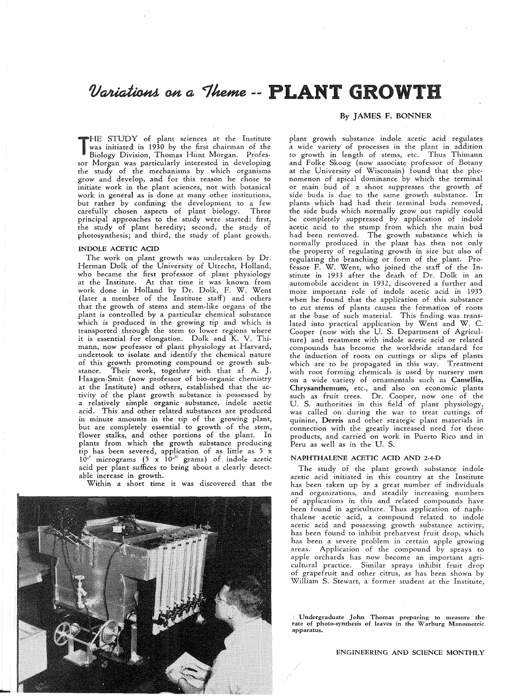# Variations on a Theme -- PLANT GROWTH

T<br>T<br>F<br>F HE STUDY of plant sciences at the Institute was initiated in 1930 by the first chairman of the Biology Division, Thomas Hunt Morgan. Professor Morgan was particularly interested in developing the study of the mechanisms by which organisms grow and develop, and for this reason he chose to initiate work in the plant sciences, not with botanical work in general as is done at many other institutions, but rather by confining the development to a few<br>carefully chosen aspects of plant biology. Three carefully chosen aspects of plant biology. principal approaches to the study were started: first, the study of plant heredity; second, the study of photosynthesis; and third, the study of plant growth.

#### INDOLE ACETIC ACID

The work on plant growth was undertaken by Dr. Herman Dolk of the University of Utrecht, Holland, who became the first professor of plant physiology at the Institute. At that time it was known from work done in Holland by Dr. Dolk, F. W. Went (later a member of the Institute staff) and others that the growth of stems and stem-like organs of the plant is controlled by a particular chemical substance which is produced in the growing tip and which is transported through the stem to lower regions where it is essential for elongation. Dolk and K. V. Thimann, now professor of plant physiology at Harvard, undertook to isolate and identify the chemical nature of this growth promoting compound or growth substance. Their work, together with that af A. J. Haagen-Smit (now professor of bio-organic chemistry at the Institute) and others, established that the activity of the plant growth substance is possessed by a relatively simple organic substance, indole acetic acid. This and other related substances are produced in minute amounts in the tip of the growing plant, but are completely essential to growth of the stem, flower stalks, and other portions of the plant. In plants from which the growth substance producing tip has been severed, application of as little as 5 x  $10^{-6}$  micrograms (5 x  $10^{-12}$  grams) of indole acetic acid per plant suffices to bring about a clearly detectable increase in growth.

Within a short time it was discovered that the



# By JAMES F. BONNER

plant growth substance indole acetic acid regulates a wide variety of processes in the plant in addition to growth in length of stems, etc. Thus Thimann and Folke Skoog (now associate professor of Botany at the University of Wisconsin) found that the phenomenon of apical dominance by which the terminal or main bud of a shoot suppresses the growth of side buds is due to the same growth substance. In plants which had had their terminal buds removed, the side buds which normally grow out rapidly could be completely suppressed by application of indole acetic acid to the stump from which the main bud had been removed. The growth substance which is normally produced in the plant has then not only the property of regulating growth in size but also of regulating the branching or form of the plant. Professor F. W. Went, who joined the staff of the Institute in 1933 after the death of Dr. Dolk in an automobile accident in 1932, discovered a further and more important role of indole acetic acid in 1935 when he found that the application of this substance to cut stems of plants causes the formation of roots at the base of such material. This finding was translated into practical application by Went and W. C. Cooper (now with the U. S. Department of Agriculture) and treatment with indole acetic acid or related compounds has become the worldwide standard for the induction of roots on cuttings or slips of plants which are to be propagated in this way. Treatment with root forming chemicals is used by nursery men on a wide variety of ornamentals such as Camellia, Chrysanthemum, etc., and also on economic plants such as fruit trees. Dr. Cooper, now one of the U. S. authorities in this field of plant physiology, was called on during the war to treat cuttings of quinine, Derris and other strategic plant materials in connection with the greatly increased need for these products, and carried on work in Puerto Rico and in Peru as well as in the U. S.

# NAPHTHALENE ACETIC ACID AND 2-4-D

The study of the plant growth substance indole acetic acid initiated in this country at the Institute has been taken up by a great number of individuals and organizations, and steadily increasing numbers of applications in this and related compounds have been found in agriculture. Thus application of naphthalene acetic acid, a compound related to indole acetic acid and possessing growth substance activity, has been found to inhibit preharvest fruit drop, which has been a severe problem in certain apple growing areas. Application of the compound by sprays to apple orchards has now become an important agricultural practice. Similar sprays inhibit fruit drop of grapefruit and other citrus, as has been shown by William S. Stewart, a former student at the Institute,

Undergraduate John Thomas preparing to measure the rate of photo-synthesis of leaves in the Warburg Manometric apparatus.

ENGINEERING AND SCIENCE MONTHLY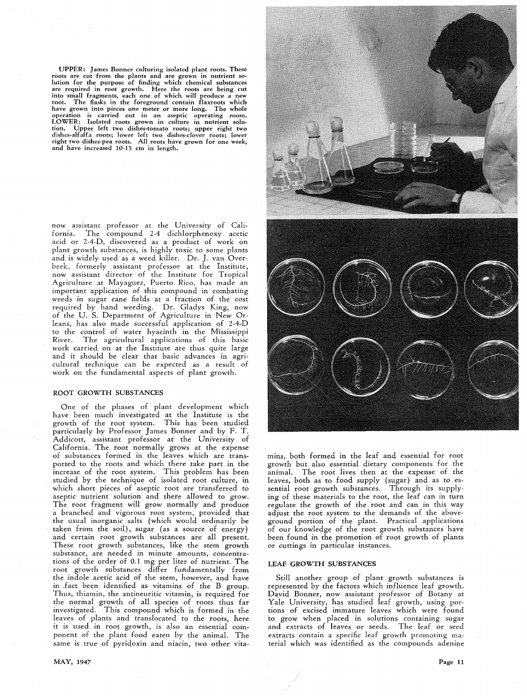UPPER: James Bonner culturing isolated plant roots. These roots are cut from the plants and are grown in nutrient solution for the purpose of finding which chemical substances are required in root growth. Here the roots are being cut into small fragments, each one of which will produce a new root. The flasks in the foreground contain flaxroots which have grown into pieces one meter or more long. The whole operation is carried out in an aseptic operating room. LOWER: Isolated roots grown in culture in nutrient solu· tion. Upper left two dishes-tomato roots; upper right two dishes-alfalfa roots; lower left two dishes-clover roots; lower right two dishes-pea roots. All roots have grown for one week, and have increased 10-15 em in length.

now assistant professor at the University of California. The compound 2-4 dichlorphenoxy acetic acid or 2-4-0, discovered as a product of work on plant growth substances, is highly toxic to some plants and is widely used as a weed killer. Dr. J. van Overbeek, formerly assistant professor at the Institute, now assistant director of the Institute for Tropical Agriculture at Mayaguez, Puerto Rico, has made an important application of this compound in combating weeds in sugar cane fields at a fraction of the cost required by hand weeding. Dr. Gladys King, now of the U. S. Department of Agriculture in New Orleans, has also made successful application of 2-4-0 to the control of water hyacinth in the Mississippi River. The agricultural applications of this basic work carried on at the Institute are thus quite large and it should be clear that basic advances in agricultural technique can be expected as a result of work on the fundamental aspects of plant growth.

#### ROOT GROWTH SUBSTANCES

One of the phases of plant development which have been much investigated at the Institute is the growth of the root system. This has been studied particularly by Professor James Bonner and by F. T. Addicott, assistant professor at the University of California. The root normally grows at the expense of substances formed in the leaves which are transported to the roots and which there take part in the increase of the root system. This problem has been studied by the technique of isolated root culture, in which short pieces of aseptic root are transferred to aseptic nutrient solution and there allowed to grow. The root fragment will grow normally and produce a branched and vigorous root system, provided that the usual inorganic salts (which would ordinarily be taken from the soil), sugar (as a source of energy) and certain root growth substances are all present. These root growth substances, like the stem growth substance, are needed in minute amounts, concentrations of the order of 0.1 mg per liter of nutrient. The root growth substances differ fundamentally from the indole acetic acid of the stem, however, and have in .fact been identified as vitamins of the B group. Thus, thiamin, the antineuritic vitamin, is required for the normal growth of all species of roots thus far investigated. This compound which is formed in the leaves of plants and translocated to the roots, here it is used in root growth, is also an essential component of the plant food eaten by the animal. The same is true of pyridoxin and niacin, two other vita-



mins, both formed. in the leaf and essential for root growth but also essential dietary components for the animal. The root lives then at the expense of the leaves, both as to food supply (sugar) and as to essential root growth substances. Through its supplying of these materials to the root, the leaf can in turn regulate the growth of the root and can in this way adjust the root system to the demands of the aboveground portion of the plant. Practical applications of our knowledge of the root growth substances have been found in the promotion of root growth of plants or cuttings in particular instances.

### LEAF GROWTH SUBSTANCES

Still another group of plant growth substances is represented by the factors which influence leaf growth. David Bonner, now assistant professor of Botany at Yale University, has studied leaf growth, using portions of excised immature leaves which were found to grow when placed in solutions containing sugar and extracts of leaves or seeds. The leaf or seed extracts contain a specific leaf growth promoting material which was identified as the compounds adenine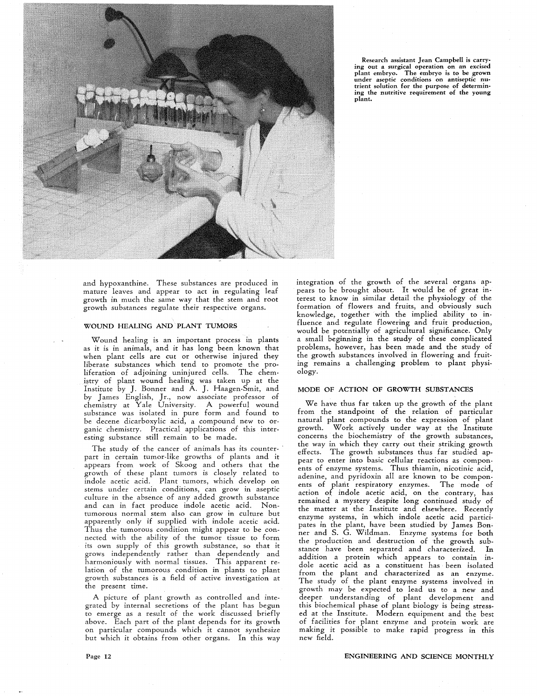

Research assistant Jean Campbell is carrying out a surgical operation on an excised plant embryo. The embryo is to be grown under aseptic conditions on antiseptic nutrient solution for the purpose of determin-ing the nutritive requirement of the young plant.

and hypoxanthine. These substances are produced in mature leaves and appear to act in regulating leaf growth in much the same way that the stem and root growth substances regulate their respective organs.

#### WOUND HEALING AND PLANT TUMORS

Wound healing is an important process in plants as it is in animals, and it has long been known that when plant cells are cut or otherwise injured they liberate substances which tend to promote the proliferation of adjoining uninjured cells. The chemistry of plant wound healing was taken up at the Institute by J. Bonner and A. J. Haagen-Smit, and by James English, Jr., now associate professor of chemistry at Yale University. A powerful wound substance was isolated in pure form and found to be decene dicarboxylic acid, a compound new to organic chemistry. Practical applications of this interesting substance still remain to be made.

The study of the cancer of animals has its counterpart in certain tumor-like growths of plants and it appears from work of Skoog and others that the growth of these plant tumors is closely related to indole acetic acid. Plant tumors, which develop on stems under certain conditions, can grow in aseptic culture in the absence of any added growth substance and can in fact produce indole acetic acid. Nontumorous normal stem also can grow in culture but apparently only if supplied with indole acetic acid. Thus the tumorous condition might appear to be connected with the ability of the tumor tissue to form its own supply of this growth substance, so that it grows independently rather than dependently and harmoniously with normal tissues. This apparent relation of the tumorous condition in plants to plant growth substances is a field of active investigation at the present time.

A picture of plant growth as controlled and integrated by internal secretions of the plant has begun to emerge as a result of the work discussed briefly above. Each part of the plant depends for its growth on particular compounds which it cannot synthesize but which it obtains from other organs. In this way integration of the growth of the several organs appears to be brought about. It would be of great interest to know in similar detail the physiology of the formation of flowers and fruits, and obviously such knowledge, together with the implied ability to influence and regulate flowering and fruit production, would be potentially of agricultural significance. Only a small beginning in the study of these complicated problems, however, has been made and the study of the growth substances involved in flowering and fruiting remains a challenging problem to plant physiology.

# MODE OF ACTION OF GROWTH SUBSTANCES

We have thus far taken up the growth of the plant from the standpoint of the relation of particular natural plant compounds to the expression of plant growth. Work actively under way at the Institute concerns the biochemistry of the growth substances, the way in which they carry out their striking growth effects. The growth substances thus far studied appear to enter into basic cellular reactions as components of enzyme systems. Thus thiamin, nicotinic acid, adenine, and pyridoxin all are known to be components of plant respiratory enzymes. The mode of action of indole acetic acid, on the contrary, has remained a mystery despite long continued study of the matter at the Institute and elsewhere. Recently enzyme systems, in which indole acetic acid participates in the plant, have been studied by James Bonner and S. G. Wildman. Enzyme systems for both the production and destruction of the growth substance have been separated and characterized. In addition a protein which appears to contain indole acetic acid as a constituent has been isolated from the plant and characterized as an enzyme. The study of the plant enzyme systems involved in growth may be expected to lead us to a new and deeper understanding of plant development and this biochemical phase of plant biology is being stressed at the Institute. Modern equipment and the best of facilities for plant enzyme and protein work are making it possible to make rapid progress in this new field.